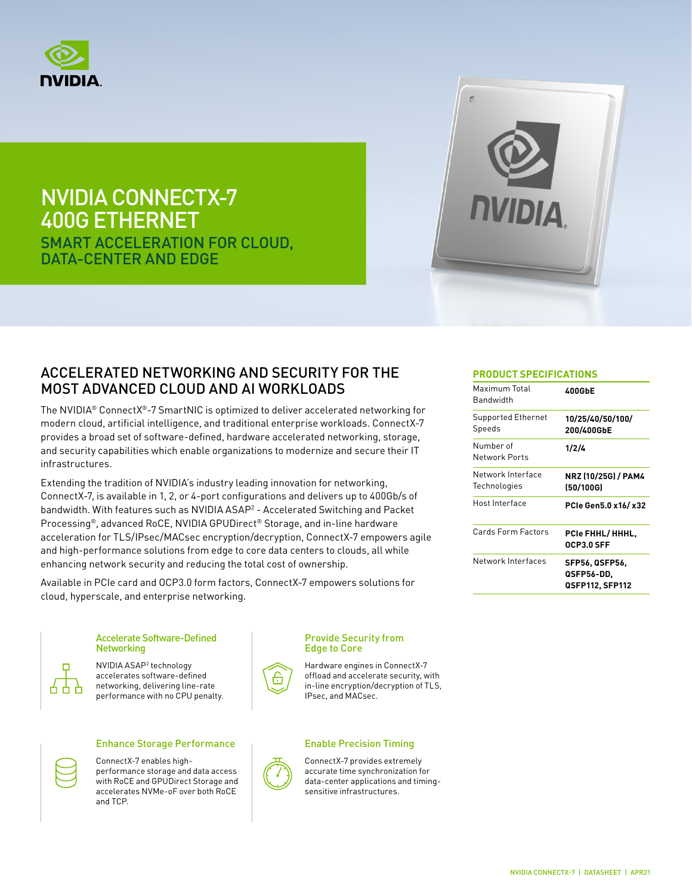

# NVIDIA CONNECTX-7 400G ETHERNET SMART ACCELERATION FOR CLOUD,

DATA-CENTER AND EDGE



### ACCELERATED NETWORKING AND SECURITY FOR THE MOST ADVANCED CLOUD AND AI WORKLOADS

The NVIDIA® ConnectX®-7 SmartNIC is optimized to deliver accelerated networking for modern cloud, artificial intelligence, and traditional enterprise workloads. ConnectX-7 provides a broad set of software-defined, hardware accelerated networking, storage, and security capabilities which enable organizations to modernize and secure their IT infrastructures.

Extending the tradition of NVIDIA's industry leading innovation for networking, ConnectX-7, is available in 1, 2, or 4-port configurations and delivers up to 400Gb/s of bandwidth. With features such as NVIDIA ASAP<sup>2</sup> - Accelerated Switching and Packet Processing®, advanced RoCE, NVIDIA GPUDirect® Storage, and in-line hardware acceleration for TLS/IPsec/MACsec encryption/decryption, ConnectX-7 empowers agile and high-performance solutions from edge to core data centers to clouds, all while enhancing network security and reducing the total cost of ownership.

Available in PCIe card and OCP3.0 form factors, ConnectX-7 empowers solutions for cloud, hyperscale, and enterprise networking.

### п 古 ų.

# Accelerate Software-Defined

NVIDIA ASAP2 technology accelerates software-defined networking, delivering line-rate



# **Networking**

performance with no CPU penalty.



#### Enhance Storage Performance Fig. Fig. 5. Enable Precision Timing

ConnectX-7 enables highperformance storage and data access with RoCE and GPUDirect Storage and accelerates NVMe-oF over both RoCE and TCP.

#### Provide Security from Edge to Core



Hardware engines in ConnectX-7 offload and accelerate security, with in-line encryption/decryption of TLS, IPsec, and MACsec.



ConnectX-7 provides extremely accurate time synchronization for data-center applications and timingsensitive infrastructures.

#### **PRODUCT SPECIFICATIONS**

| Maximum Total<br>Bandwidth        | 400GbE                                                 |
|-----------------------------------|--------------------------------------------------------|
| Supported Ethernet<br>Speeds      | 10/25/40/50/100/<br>200/400GbE                         |
| Number of<br>Network Ports        | 1/2/4                                                  |
| Network Interface<br>Technologies | NRZ (10/25G) / PAM4<br>(50/100G)                       |
| Host Interface                    | PCIe Gen5.0 x16/x32                                    |
| Cards Form Factors                | PCIe FHHL/HHHL.<br>OCP3.0 SFF                          |
| Network Interfaces                | <b>SFP56, QSFP56,</b><br>QSFP56-DD,<br>QSFP112, SFP112 |